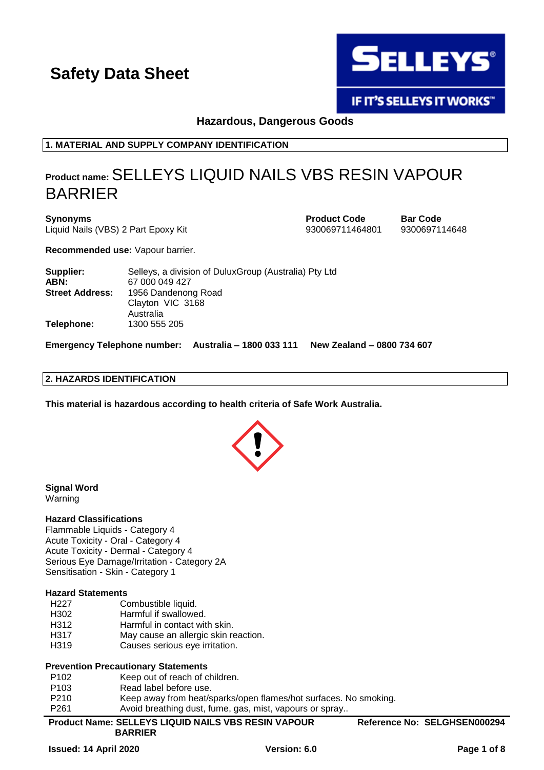

**IF IT'S SELLEYS IT WORKS"** 

**Hazardous, Dangerous Goods**

**1. MATERIAL AND SUPPLY COMPANY IDENTIFICATION**

# **Product name:**SELLEYS LIQUID NAILS VBS RESIN VAPOUR BARRIER

**Synonyms Product Code Bar Code** Liquid Nails (VBS) 2 Part Epoxy Kit 930069711464801 9300697114648

**Recommended use:** Vapour barrier.

**Supplier:** Selleys, a division of DuluxGroup (Australia) Pty Ltd **ABN:** 67 000 049 427 **Street Address:** 1956 Dandenong Road Clayton VIC 3168 Australia **Telephone:** 1300 555 205

**Emergency Telephone number: Australia – 1800 033 111 New Zealand – 0800 734 607**

### **2. HAZARDS IDENTIFICATION**

**This material is hazardous according to health criteria of Safe Work Australia.**



**Signal Word** Warning

### **Hazard Classifications**

Flammable Liquids - Category 4 Acute Toxicity - Oral - Category 4 Acute Toxicity - Dermal - Category 4 Serious Eye Damage/Irritation - Category 2A Sensitisation - Skin - Category 1

### **Hazard Statements**

- H227 Combustible liquid.
- H302 Harmful if swallowed.
- H312 Harmful in contact with skin.
- H317 May cause an allergic skin reaction.
- H319 Causes serious eye irritation.

### **Prevention Precautionary Statements**

- P102 Keep out of reach of children.
- P103 Read label before use.
- 
- P210 Keep away from heat/sparks/open flames/hot surfaces. No smoking.<br>P261 Avoid breathing dust. fume. gas. mist. vapours or spray.. Avoid breathing dust, fume, gas, mist, vapours or spray..
- **Product Name: SELLEYS LIQUID NAILS VBS RESIN VAPOUR**

**Reference No: SELGHSEN000294**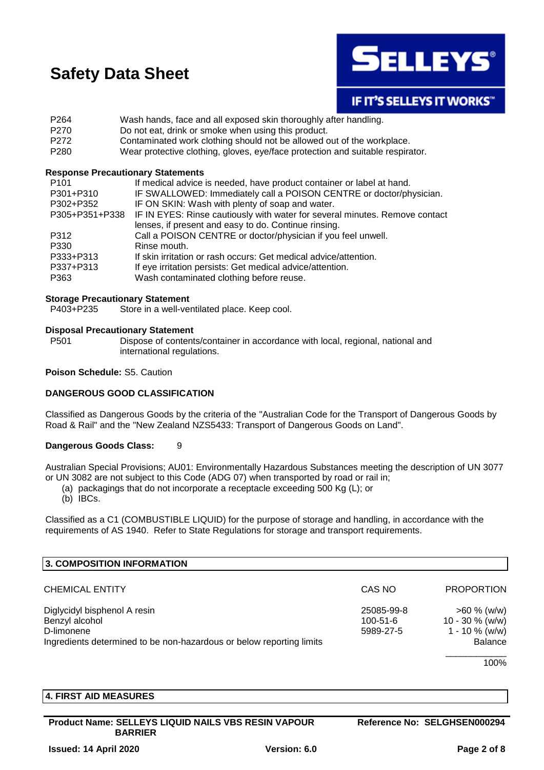

## **IF IT'S SELLEYS IT WORKS"**

- P264 Wash hands, face and all exposed skin thoroughly after handling.
- P270 Do not eat, drink or smoke when using this product.
- P272 Contaminated work clothing should not be allowed out of the workplace.
- P280 Wear protective clothing, gloves, eye/face protection and suitable respirator.

### **Response Precautionary Statements**

| P <sub>101</sub> | If medical advice is needed, have product container or label at hand.       |
|------------------|-----------------------------------------------------------------------------|
| P301+P310        | IF SWALLOWED: Immediately call a POISON CENTRE or doctor/physician.         |
| P302+P352        | IF ON SKIN: Wash with plenty of soap and water.                             |
| P305+P351+P338   | IF IN EYES: Rinse cautiously with water for several minutes. Remove contact |
|                  | lenses, if present and easy to do. Continue rinsing.                        |
| P312             | Call a POISON CENTRE or doctor/physician if you feel unwell.                |
| P330             | Rinse mouth.                                                                |
| P333+P313        | If skin irritation or rash occurs: Get medical advice/attention.            |
| P337+P313        | If eye irritation persists: Get medical advice/attention.                   |
| P363             | Wash contaminated clothing before reuse.                                    |

### **Storage Precautionary Statement**

P403+P235 Store in a well-ventilated place. Keep cool.

### **Disposal Precautionary Statement**

P501 Dispose of contents/container in accordance with local, regional, national and international regulations.

### **Poison Schedule:** S5. Caution

### **DANGEROUS GOOD CLASSIFICATION**

Classified as Dangerous Goods by the criteria of the "Australian Code for the Transport of Dangerous Goods by Road & Rail" and the "New Zealand NZS5433: Transport of Dangerous Goods on Land".

### **Dangerous Goods Class:** 9

Australian Special Provisions; AU01: Environmentally Hazardous Substances meeting the description of UN 3077 or UN 3082 are not subject to this Code (ADG 07) when transported by road or rail in;

- (a) packagings that do not incorporate a receptacle exceeding 500 Kg (L); or
- (b) IBCs.

Classified as a C1 (COMBUSTIBLE LIQUID) for the purpose of storage and handling, in accordance with the requirements of AS 1940. Refer to State Regulations for storage and transport requirements.

| 3. COMPOSITION INFORMATION                                           |                |                   |
|----------------------------------------------------------------------|----------------|-------------------|
| <b>CHEMICAL ENTITY</b>                                               | CAS NO         | <b>PROPORTION</b> |
| Diglycidyl bisphenol A resin                                         | 25085-99-8     | $>60 \%$ (w/w)    |
| Benzyl alcohol                                                       | $100 - 51 - 6$ | $10 - 30 %$ (w/w) |
| D-limonene                                                           | 5989-27-5      | $1 - 10 \%$ (w/w) |
| Ingredients determined to be non-hazardous or below reporting limits |                | <b>Balance</b>    |
|                                                                      |                |                   |

100%

### **4. FIRST AID MEASURES**

**Product Name: SELLEYS LIQUID NAILS VBS RESIN VAPOUR BARRIER**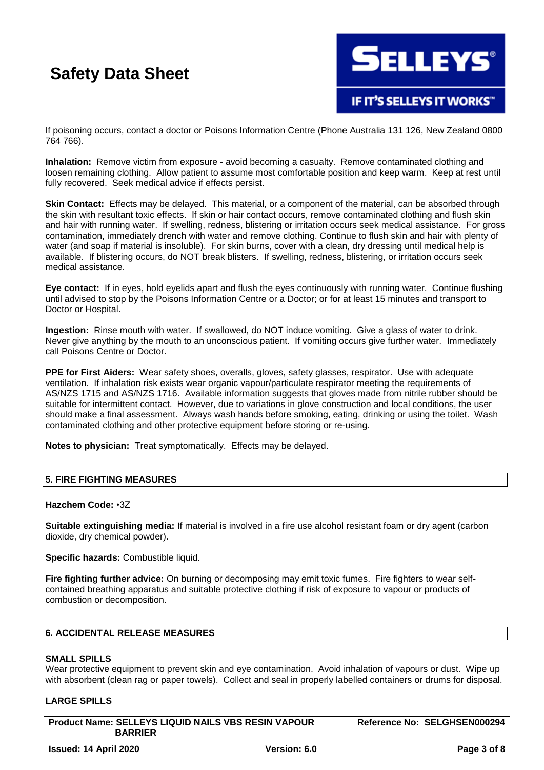

If poisoning occurs, contact a doctor or Poisons Information Centre (Phone Australia 131 126, New Zealand 0800 764 766).

**Inhalation:** Remove victim from exposure - avoid becoming a casualty. Remove contaminated clothing and loosen remaining clothing. Allow patient to assume most comfortable position and keep warm. Keep at rest until fully recovered. Seek medical advice if effects persist.

**Skin Contact:** Effects may be delayed. This material, or a component of the material, can be absorbed through the skin with resultant toxic effects. If skin or hair contact occurs, remove contaminated clothing and flush skin and hair with running water. If swelling, redness, blistering or irritation occurs seek medical assistance. For gross contamination, immediately drench with water and remove clothing. Continue to flush skin and hair with plenty of water (and soap if material is insoluble). For skin burns, cover with a clean, dry dressing until medical help is available. If blistering occurs, do NOT break blisters. If swelling, redness, blistering, or irritation occurs seek medical assistance.

**Eye contact:** If in eyes, hold eyelids apart and flush the eyes continuously with running water. Continue flushing until advised to stop by the Poisons Information Centre or a Doctor; or for at least 15 minutes and transport to Doctor or Hospital.

**Ingestion:** Rinse mouth with water. If swallowed, do NOT induce vomiting. Give a glass of water to drink. Never give anything by the mouth to an unconscious patient. If vomiting occurs give further water. Immediately call Poisons Centre or Doctor.

**PPE for First Aiders:** Wear safety shoes, overalls, gloves, safety glasses, respirator. Use with adequate ventilation. If inhalation risk exists wear organic vapour/particulate respirator meeting the requirements of AS/NZS 1715 and AS/NZS 1716. Available information suggests that gloves made from nitrile rubber should be suitable for intermittent contact. However, due to variations in glove construction and local conditions, the user should make a final assessment. Always wash hands before smoking, eating, drinking or using the toilet. Wash contaminated clothing and other protective equipment before storing or re-using.

**Notes to physician:** Treat symptomatically. Effects may be delayed.

### **5. FIRE FIGHTING MEASURES**

### **Hazchem Code:** •3Z

**Suitable extinguishing media:** If material is involved in a fire use alcohol resistant foam or dry agent (carbon dioxide, dry chemical powder).

**Specific hazards:** Combustible liquid.

**Fire fighting further advice:** On burning or decomposing may emit toxic fumes. Fire fighters to wear selfcontained breathing apparatus and suitable protective clothing if risk of exposure to vapour or products of combustion or decomposition.

### **6. ACCIDENTAL RELEASE MEASURES**

### **SMALL SPILLS**

Wear protective equipment to prevent skin and eye contamination. Avoid inhalation of vapours or dust. Wipe up with absorbent (clean rag or paper towels). Collect and seal in properly labelled containers or drums for disposal.

### **LARGE SPILLS**

**Product Name: SELLEYS LIQUID NAILS VBS RESIN VAPOUR BARRIER**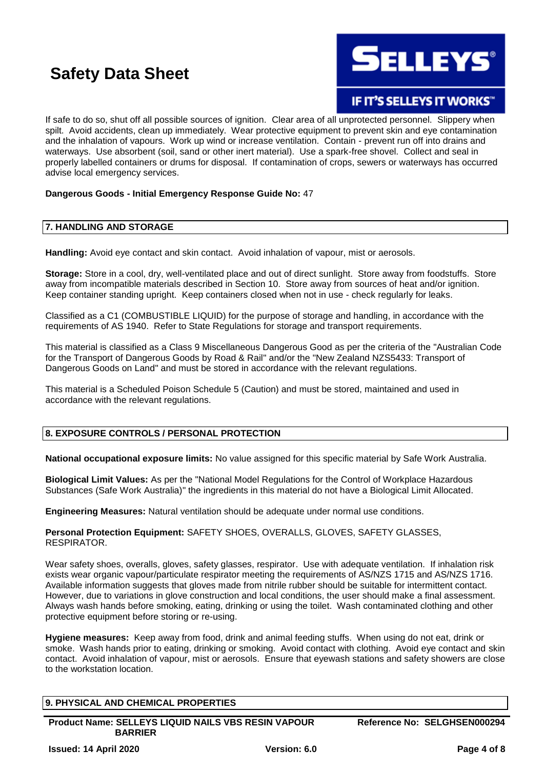**ELLEYS** 

**IF IT'S SELLEYS IT WORKS"** 

If safe to do so, shut off all possible sources of ignition. Clear area of all unprotected personnel. Slippery when spilt. Avoid accidents, clean up immediately. Wear protective equipment to prevent skin and eye contamination and the inhalation of vapours. Work up wind or increase ventilation. Contain - prevent run off into drains and waterways. Use absorbent (soil, sand or other inert material). Use a spark-free shovel. Collect and seal in properly labelled containers or drums for disposal. If contamination of crops, sewers or waterways has occurred advise local emergency services.

### **Dangerous Goods - Initial Emergency Response Guide No:** 47

### **7. HANDLING AND STORAGE**

**Handling:** Avoid eye contact and skin contact. Avoid inhalation of vapour, mist or aerosols.

**Storage:** Store in a cool, dry, well-ventilated place and out of direct sunlight. Store away from foodstuffs. Store away from incompatible materials described in Section 10. Store away from sources of heat and/or ignition. Keep container standing upright. Keep containers closed when not in use - check regularly for leaks.

Classified as a C1 (COMBUSTIBLE LIQUID) for the purpose of storage and handling, in accordance with the requirements of AS 1940. Refer to State Regulations for storage and transport requirements.

This material is classified as a Class 9 Miscellaneous Dangerous Good as per the criteria of the "Australian Code for the Transport of Dangerous Goods by Road & Rail" and/or the "New Zealand NZS5433: Transport of Dangerous Goods on Land" and must be stored in accordance with the relevant regulations.

This material is a Scheduled Poison Schedule 5 (Caution) and must be stored, maintained and used in accordance with the relevant regulations.

### **8. EXPOSURE CONTROLS / PERSONAL PROTECTION**

**National occupational exposure limits:** No value assigned for this specific material by Safe Work Australia.

**Biological Limit Values:** As per the "National Model Regulations for the Control of Workplace Hazardous Substances (Safe Work Australia)" the ingredients in this material do not have a Biological Limit Allocated.

**Engineering Measures:** Natural ventilation should be adequate under normal use conditions.

**Personal Protection Equipment:** SAFETY SHOES, OVERALLS, GLOVES, SAFETY GLASSES, RESPIRATOR.

Wear safety shoes, overalls, gloves, safety glasses, respirator. Use with adequate ventilation. If inhalation risk exists wear organic vapour/particulate respirator meeting the requirements of AS/NZS 1715 and AS/NZS 1716. Available information suggests that gloves made from nitrile rubber should be suitable for intermittent contact. However, due to variations in glove construction and local conditions, the user should make a final assessment. Always wash hands before smoking, eating, drinking or using the toilet. Wash contaminated clothing and other protective equipment before storing or re-using.

**Hygiene measures:** Keep away from food, drink and animal feeding stuffs. When using do not eat, drink or smoke. Wash hands prior to eating, drinking or smoking. Avoid contact with clothing. Avoid eye contact and skin contact. Avoid inhalation of vapour, mist or aerosols. Ensure that eyewash stations and safety showers are close to the workstation location.

| 9. PHYSICAL AND CHEMICAL PROPERTIES                                          |                              |
|------------------------------------------------------------------------------|------------------------------|
| <b>Product Name: SELLEYS LIQUID NAILS VBS RESIN VAPOUR</b><br><b>BARRIER</b> | Reference No: SELGHSEN000294 |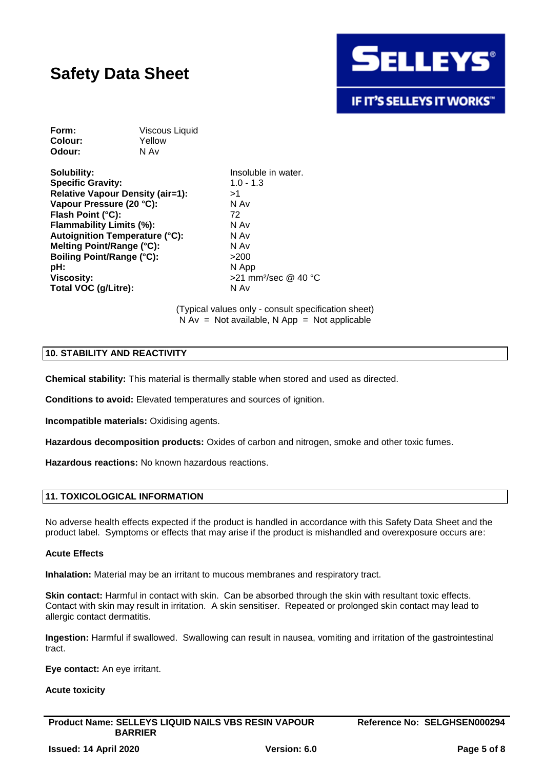

| Form:   | Viscous Liquid |
|---------|----------------|
| Colour: | Yellow         |
| Odour:  | N Av           |

**Solubility:** Insoluble in water. **Specific Gravity:** 1.0 - 1.3 **Relative Vapour Density (air=1):** >1 **Vapour Pressure (20 °C):** N Av **Flash Point (°C):** 72<br>**Flammability Limits (%):** 72 N Av **Flammability Limits (%): Autoignition Temperature (°C):** N Av **Melting Point/Range (°C):** N Av **Boiling Point/Range (°C):**  $>200$ **pH:** N App **Viscosity:**  $>21$  mm<sup>2</sup>/sec @ 40 °C **Total VOC (g/Litre):** N Av

(Typical values only - consult specification sheet)  $N Av = Not available, N App = Not applicable$ 

### **10. STABILITY AND REACTIVITY**

**Chemical stability:** This material is thermally stable when stored and used as directed.

**Conditions to avoid:** Elevated temperatures and sources of ignition.

**Incompatible materials:** Oxidising agents.

**Hazardous decomposition products:** Oxides of carbon and nitrogen, smoke and other toxic fumes.

**Hazardous reactions:** No known hazardous reactions.

### **11. TOXICOLOGICAL INFORMATION**

No adverse health effects expected if the product is handled in accordance with this Safety Data Sheet and the product label. Symptoms or effects that may arise if the product is mishandled and overexposure occurs are:

### **Acute Effects**

**Inhalation:** Material may be an irritant to mucous membranes and respiratory tract.

**Skin contact:** Harmful in contact with skin. Can be absorbed through the skin with resultant toxic effects. Contact with skin may result in irritation. A skin sensitiser. Repeated or prolonged skin contact may lead to allergic contact dermatitis.

**Ingestion:** Harmful if swallowed. Swallowing can result in nausea, vomiting and irritation of the gastrointestinal tract.

**Eye contact:** An eye irritant.

### **Acute toxicity**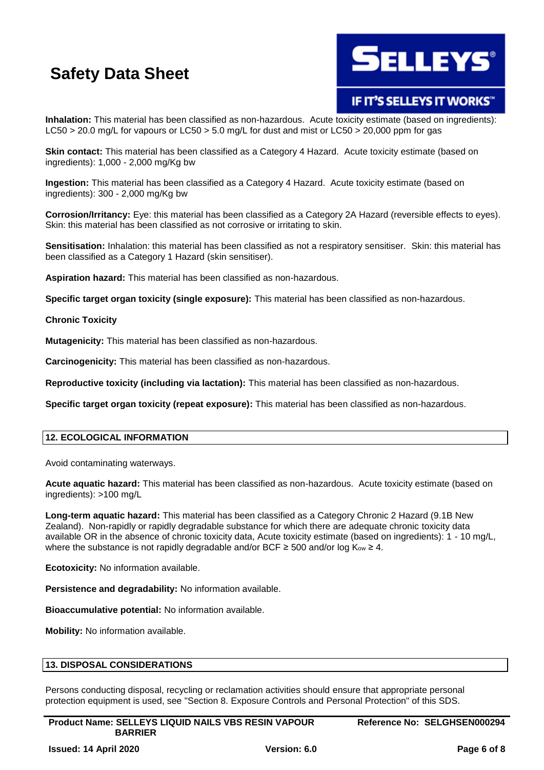

## **IF IT'S SELLEYS IT WORKS"**

**Inhalation:** This material has been classified as non-hazardous. Acute toxicity estimate (based on ingredients): LC50 > 20.0 mg/L for vapours or LC50 > 5.0 mg/L for dust and mist or LC50 > 20,000 ppm for gas

**Skin contact:** This material has been classified as a Category 4 Hazard. Acute toxicity estimate (based on ingredients): 1,000 - 2,000 mg/Kg bw

**Ingestion:** This material has been classified as a Category 4 Hazard. Acute toxicity estimate (based on ingredients): 300 - 2,000 mg/Kg bw

**Corrosion/Irritancy:** Eye: this material has been classified as a Category 2A Hazard (reversible effects to eyes). Skin: this material has been classified as not corrosive or irritating to skin.

**Sensitisation:** Inhalation: this material has been classified as not a respiratory sensitiser. Skin: this material has been classified as a Category 1 Hazard (skin sensitiser).

**Aspiration hazard:** This material has been classified as non-hazardous.

**Specific target organ toxicity (single exposure):** This material has been classified as non-hazardous.

### **Chronic Toxicity**

**Mutagenicity:** This material has been classified as non-hazardous.

**Carcinogenicity:** This material has been classified as non-hazardous.

**Reproductive toxicity (including via lactation):** This material has been classified as non-hazardous.

**Specific target organ toxicity (repeat exposure):** This material has been classified as non-hazardous.

### **12. ECOLOGICAL INFORMATION**

Avoid contaminating waterways.

**Acute aquatic hazard:** This material has been classified as non-hazardous. Acute toxicity estimate (based on ingredients): >100 mg/L

**Long-term aquatic hazard:** This material has been classified as a Category Chronic 2 Hazard (9.1B New Zealand). Non-rapidly or rapidly degradable substance for which there are adequate chronic toxicity data available OR in the absence of chronic toxicity data, Acute toxicity estimate (based on ingredients): 1 - 10 mg/L, where the substance is not rapidly degradable and/or BCF  $\geq$  500 and/or log  $K_{ow} \geq 4$ .

**Ecotoxicity:** No information available.

**Persistence and degradability:** No information available.

**Bioaccumulative potential:** No information available.

**Mobility:** No information available.

### **13. DISPOSAL CONSIDERATIONS**

Persons conducting disposal, recycling or reclamation activities should ensure that appropriate personal protection equipment is used, see "Section 8. Exposure Controls and Personal Protection" of this SDS.

**Product Name: SELLEYS LIQUID NAILS VBS RESIN VAPOUR BARRIER**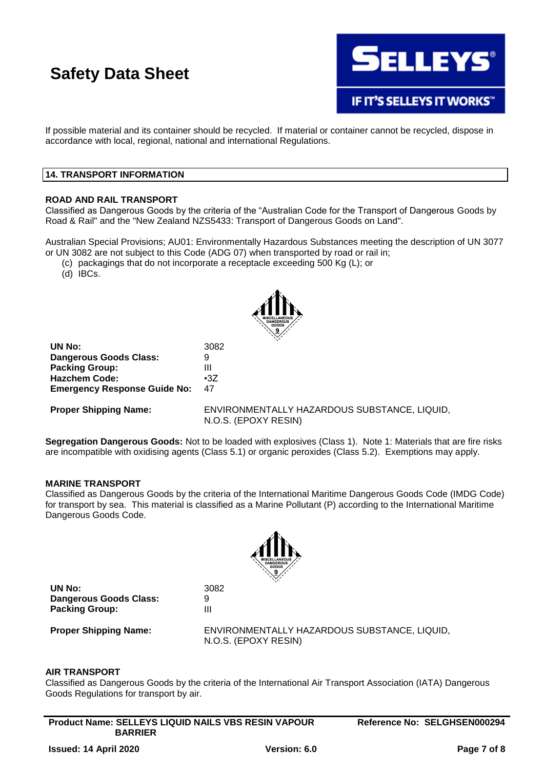

**IF IT'S SELLEYS IT WORKS"** 

If possible material and its container should be recycled. If material or container cannot be recycled, dispose in accordance with local, regional, national and international Regulations.

### **14. TRANSPORT INFORMATION**

### **ROAD AND RAIL TRANSPORT**

Classified as Dangerous Goods by the criteria of the "Australian Code for the Transport of Dangerous Goods by Road & Rail" and the "New Zealand NZS5433: Transport of Dangerous Goods on Land".

Australian Special Provisions; AU01: Environmentally Hazardous Substances meeting the description of UN 3077 or UN 3082 are not subject to this Code (ADG 07) when transported by road or rail in;

- (c) packagings that do not incorporate a receptacle exceeding 500 Kg (L); or
- (d) IBCs.



**UN No:** 3082 **Dangerous Goods Class:** 9 **Packing Group:** III **Hazchem Code:** •3Z **Emergency Response Guide No:** 47

**Proper Shipping Name:** ENVIRONMENTALLY HAZARDOUS SUBSTANCE, LIQUID, N.O.S. (EPOXY RESIN)

**Segregation Dangerous Goods:** Not to be loaded with explosives (Class 1). Note 1: Materials that are fire risks are incompatible with oxidising agents (Class 5.1) or organic peroxides (Class 5.2). Exemptions may apply.

### **MARINE TRANSPORT**

Classified as Dangerous Goods by the criteria of the International Maritime Dangerous Goods Code (IMDG Code) for transport by sea. This material is classified as a Marine Pollutant (P) according to the International Maritime Dangerous Goods Code.



**UN No:** 3082 **Dangerous Goods Class:** 9 **Packing Group:** III

**Proper Shipping Name:** ENVIRONMENTALLY HAZARDOUS SUBSTANCE, LIQUID, N.O.S. (EPOXY RESIN)

### **AIR TRANSPORT**

Classified as Dangerous Goods by the criteria of the International Air Transport Association (IATA) Dangerous Goods Regulations for transport by air.

**Product Name: SELLEYS LIQUID NAILS VBS RESIN VAPOUR BARRIER**

**Reference No: SELGHSEN000294**